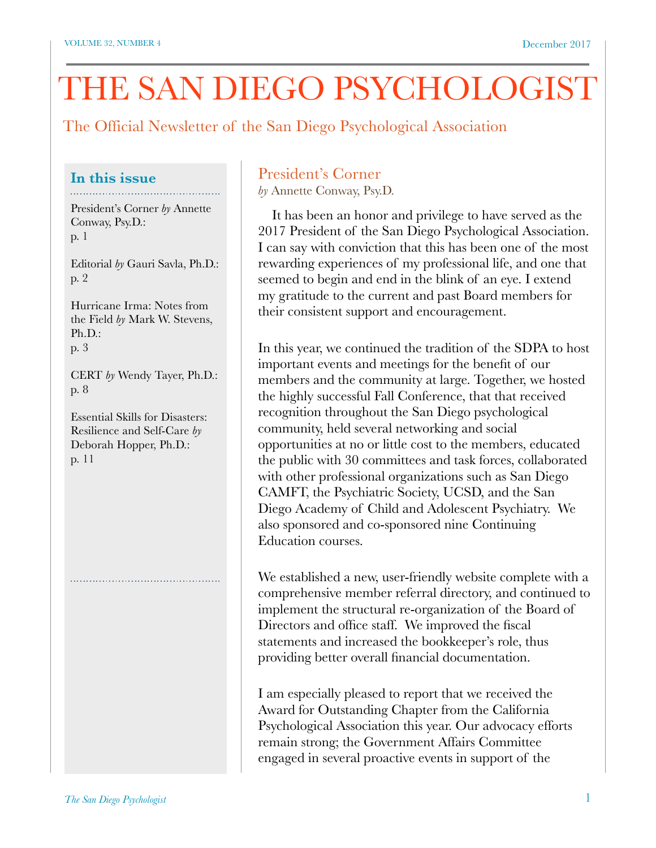# THE SAN DIEGO PSYCHOLOGIST

The Official Newsletter of the San Diego Psychological Association

#### **In this issue**

President's Corner *by* Annette Conway, Psy.D.: p. 1

Editorial *by* Gauri Savla, Ph.D.: p. 2

Hurricane Irma: Notes from the Field *by* Mark W. Stevens, Ph.D.: p. 3

CERT *by* Wendy Tayer, Ph.D.: p. 8

Essential Skills for Disasters: Resilience and Self-Care *by*  Deborah Hopper, Ph.D.: p. 11

## President's Corner

*by* Annette Conway, Psy.D.

 It has been an honor and privilege to have served as the 2017 President of the San Diego Psychological Association. I can say with conviction that this has been one of the most rewarding experiences of my professional life, and one that seemed to begin and end in the blink of an eye. I extend my gratitude to the current and past Board members for their consistent support and encouragement.

In this year, we continued the tradition of the SDPA to host important events and meetings for the benefit of our members and the community at large. Together, we hosted the highly successful Fall Conference, that that received recognition throughout the San Diego psychological community, held several networking and social opportunities at no or little cost to the members, educated the public with 30 committees and task forces, collaborated with other professional organizations such as San Diego CAMFT, the Psychiatric Society, UCSD, and the San Diego Academy of Child and Adolescent Psychiatry. We also sponsored and co-sponsored nine Continuing Education courses.

We established a new, user-friendly website complete with a comprehensive member referral directory, and continued to implement the structural re-organization of the Board of Directors and office staff. We improved the fiscal statements and increased the bookkeeper's role, thus providing better overall financial documentation.

I am especially pleased to report that we received the Award for Outstanding Chapter from the California Psychological Association this year. Our advocacy efforts remain strong; the Government Affairs Committee engaged in several proactive events in support of the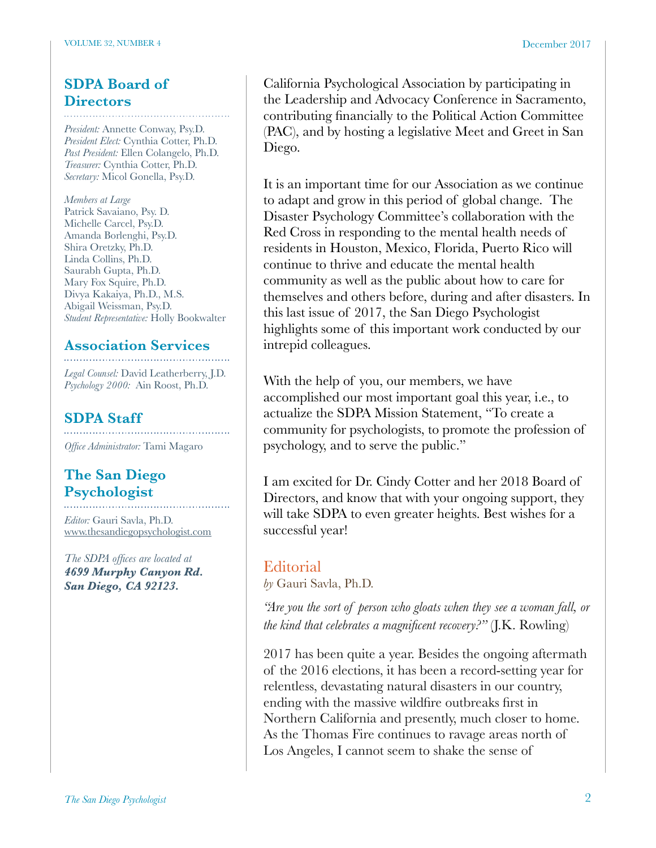## **SDPA Board of Directors**

*President:* Annette Conway, Psy.D. *President Elect:* Cynthia Cotter, Ph.D. *Past President:* Ellen Colangelo, Ph.D. *Treasurer:* Cynthia Cotter, Ph.D. *Secretary:* Micol Gonella, Psy.D.

*Members at Large* Patrick Savaiano, Psy. D. Michelle Carcel, Psy.D. Amanda Borlenghi, Psy.D. Shira Oretzky, Ph.D. Linda Collins, Ph.D. Saurabh Gupta, Ph.D. Mary Fox Squire, Ph.D. Divya Kakaiya, Ph.D., M.S. Abigail Weissman, Psy.D. *Student Representative:* Holly Bookwalter

## **Association Services**

*Legal Counsel:* David Leatherberry, J.D. *Psychology 2000:* Ain Roost, Ph.D.

## **SDPA Staff**

*Office Administrator:* Tami Magaro

## **The San Diego Psychologist**

*Editor:* Gauri Savla, Ph.D. [www.thesandiegopsychologist.com](http://www.thesandiegopsychologist.com)

*The SDPA offices are located at 4699 Murphy Canyon Rd. San Diego, CA 92123.* 

California Psychological Association by participating in the Leadership and Advocacy Conference in Sacramento, contributing financially to the Political Action Committee (PAC), and by hosting a legislative Meet and Greet in San Diego.

It is an important time for our Association as we continue to adapt and grow in this period of global change. The Disaster Psychology Committee's collaboration with the Red Cross in responding to the mental health needs of residents in Houston, Mexico, Florida, Puerto Rico will continue to thrive and educate the mental health community as well as the public about how to care for themselves and others before, during and after disasters. In this last issue of 2017, the San Diego Psychologist highlights some of this important work conducted by our intrepid colleagues.

With the help of you, our members, we have accomplished our most important goal this year, i.e., to actualize the SDPA Mission Statement, "To create a community for psychologists, to promote the profession of psychology, and to serve the public."

I am excited for Dr. Cindy Cotter and her 2018 Board of Directors, and know that with your ongoing support, they will take SDPA to even greater heights. Best wishes for a successful year!

## **Editorial**

*by* Gauri Savla, Ph.D.

*"Are you the sort of person who gloats when they see a woman fall, or the kind that celebrates a magnificent recovery?"* (J.K. Rowling)

2017 has been quite a year. Besides the ongoing aftermath of the 2016 elections, it has been a record-setting year for relentless, devastating natural disasters in our country, ending with the massive wildfire outbreaks first in Northern California and presently, much closer to home. As the Thomas Fire continues to ravage areas north of Los Angeles, I cannot seem to shake the sense of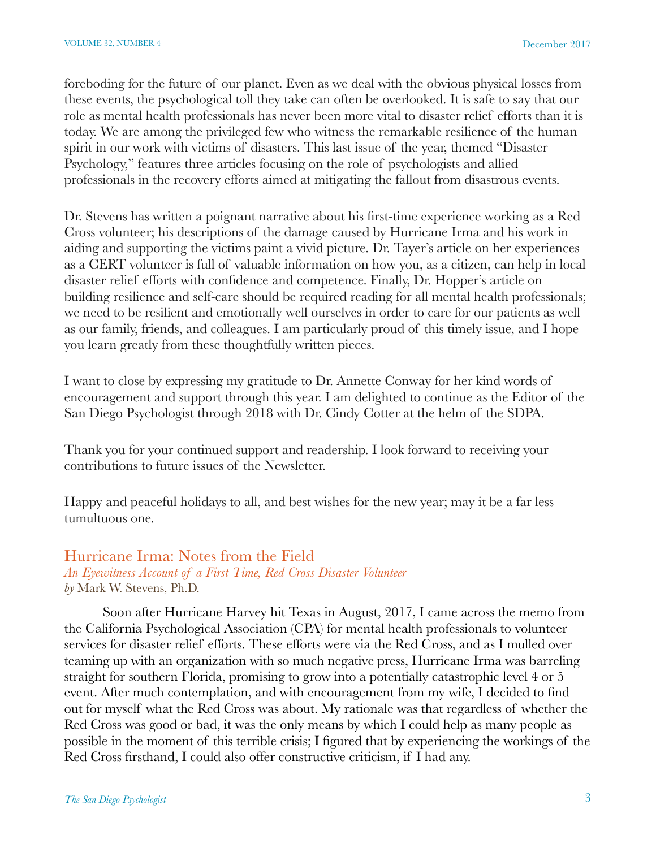foreboding for the future of our planet. Even as we deal with the obvious physical losses from these events, the psychological toll they take can often be overlooked. It is safe to say that our role as mental health professionals has never been more vital to disaster relief efforts than it is today. We are among the privileged few who witness the remarkable resilience of the human spirit in our work with victims of disasters. This last issue of the year, themed "Disaster Psychology," features three articles focusing on the role of psychologists and allied professionals in the recovery efforts aimed at mitigating the fallout from disastrous events.

Dr. Stevens has written a poignant narrative about his first-time experience working as a Red Cross volunteer; his descriptions of the damage caused by Hurricane Irma and his work in aiding and supporting the victims paint a vivid picture. Dr. Tayer's article on her experiences as a CERT volunteer is full of valuable information on how you, as a citizen, can help in local disaster relief efforts with confidence and competence. Finally, Dr. Hopper's article on building resilience and self-care should be required reading for all mental health professionals; we need to be resilient and emotionally well ourselves in order to care for our patients as well as our family, friends, and colleagues. I am particularly proud of this timely issue, and I hope you learn greatly from these thoughtfully written pieces.

I want to close by expressing my gratitude to Dr. Annette Conway for her kind words of encouragement and support through this year. I am delighted to continue as the Editor of the San Diego Psychologist through 2018 with Dr. Cindy Cotter at the helm of the SDPA.

Thank you for your continued support and readership. I look forward to receiving your contributions to future issues of the Newsletter.

Happy and peaceful holidays to all, and best wishes for the new year; may it be a far less tumultuous one.

## Hurricane Irma: Notes from the Field

*An Eyewitness Account of a First Time, Red Cross Disaster Volunteer by* Mark W. Stevens, Ph.D.

Soon after Hurricane Harvey hit Texas in August, 2017, I came across the memo from the California Psychological Association (CPA) for mental health professionals to volunteer services for disaster relief efforts. These efforts were via the Red Cross, and as I mulled over teaming up with an organization with so much negative press, Hurricane Irma was barreling straight for southern Florida, promising to grow into a potentially catastrophic level 4 or 5 event. After much contemplation, and with encouragement from my wife, I decided to find out for myself what the Red Cross was about. My rationale was that regardless of whether the Red Cross was good or bad, it was the only means by which I could help as many people as possible in the moment of this terrible crisis; I figured that by experiencing the workings of the Red Cross firsthand, I could also offer constructive criticism, if I had any.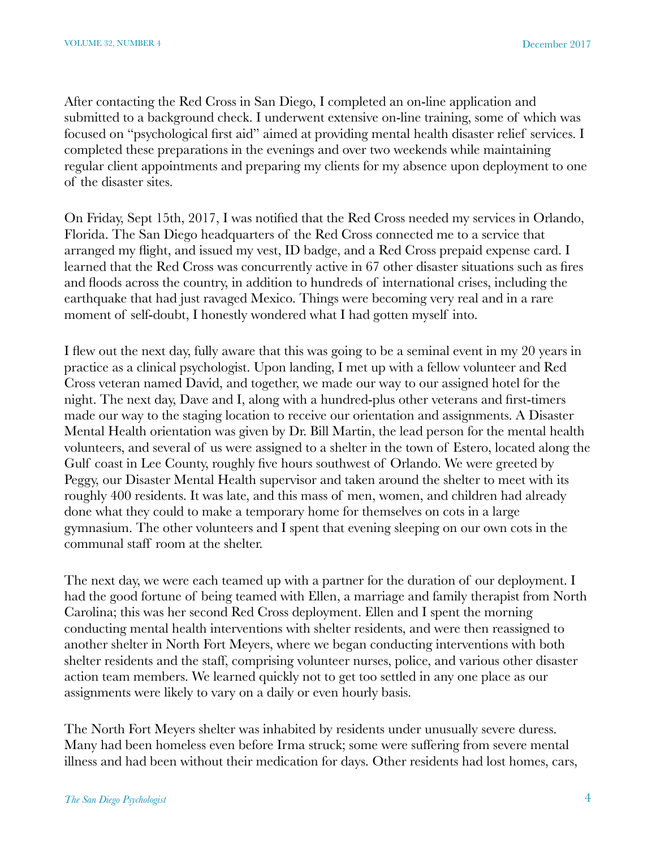After contacting the Red Cross in San Diego, I completed an on-line application and submitted to a background check. I underwent extensive on-line training, some of which was focused on "psychological first aid" aimed at providing mental health disaster relief services. I completed these preparations in the evenings and over two weekends while maintaining regular client appointments and preparing my clients for my absence upon deployment to one of the disaster sites.

On Friday, Sept 15th, 2017, I was notified that the Red Cross needed my services in Orlando, Florida. The San Diego headquarters of the Red Cross connected me to a service that arranged my flight, and issued my vest, ID badge, and a Red Cross prepaid expense card. I learned that the Red Cross was concurrently active in 67 other disaster situations such as fires and floods across the country, in addition to hundreds of international crises, including the earthquake that had just ravaged Mexico. Things were becoming very real and in a rare moment of self-doubt, I honestly wondered what I had gotten myself into.

I flew out the next day, fully aware that this was going to be a seminal event in my 20 years in practice as a clinical psychologist. Upon landing, I met up with a fellow volunteer and Red Cross veteran named David, and together, we made our way to our assigned hotel for the night. The next day, Dave and I, along with a hundred-plus other veterans and first-timers made our way to the staging location to receive our orientation and assignments. A Disaster Mental Health orientation was given by Dr. Bill Martin, the lead person for the mental health volunteers, and several of us were assigned to a shelter in the town of Estero, located along the Gulf coast in Lee County, roughly five hours southwest of Orlando. We were greeted by Peggy, our Disaster Mental Health supervisor and taken around the shelter to meet with its roughly 400 residents. It was late, and this mass of men, women, and children had already done what they could to make a temporary home for themselves on cots in a large gymnasium. The other volunteers and I spent that evening sleeping on our own cots in the communal staff room at the shelter.

The next day, we were each teamed up with a partner for the duration of our deployment. I had the good fortune of being teamed with Ellen, a marriage and family therapist from North Carolina; this was her second Red Cross deployment. Ellen and I spent the morning conducting mental health interventions with shelter residents, and were then reassigned to another shelter in North Fort Meyers, where we began conducting interventions with both shelter residents and the staff, comprising volunteer nurses, police, and various other disaster action team members. We learned quickly not to get too settled in any one place as our assignments were likely to vary on a daily or even hourly basis.

The North Fort Meyers shelter was inhabited by residents under unusually severe duress. Many had been homeless even before Irma struck; some were suffering from severe mental illness and had been without their medication for days. Other residents had lost homes, cars,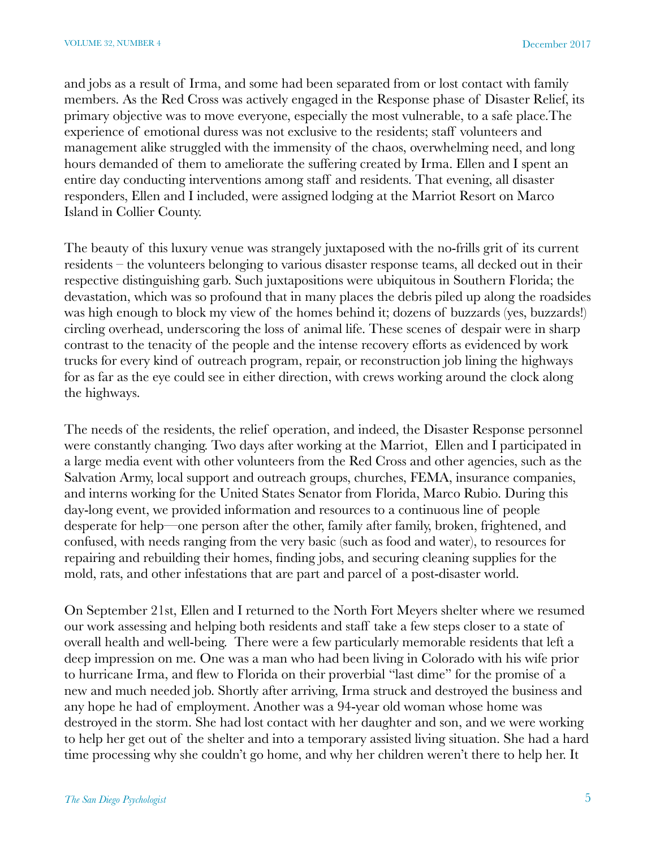and jobs as a result of Irma, and some had been separated from or lost contact with family members. As the Red Cross was actively engaged in the Response phase of Disaster Relief, its primary objective was to move everyone, especially the most vulnerable, to a safe place.The experience of emotional duress was not exclusive to the residents; staff volunteers and management alike struggled with the immensity of the chaos, overwhelming need, and long hours demanded of them to ameliorate the suffering created by Irma. Ellen and I spent an entire day conducting interventions among staff and residents. That evening, all disaster responders, Ellen and I included, were assigned lodging at the Marriot Resort on Marco Island in Collier County.

The beauty of this luxury venue was strangely juxtaposed with the no-frills grit of its current residents – the volunteers belonging to various disaster response teams, all decked out in their respective distinguishing garb. Such juxtapositions were ubiquitous in Southern Florida; the devastation, which was so profound that in many places the debris piled up along the roadsides was high enough to block my view of the homes behind it; dozens of buzzards (yes, buzzards!) circling overhead, underscoring the loss of animal life. These scenes of despair were in sharp contrast to the tenacity of the people and the intense recovery efforts as evidenced by work trucks for every kind of outreach program, repair, or reconstruction job lining the highways for as far as the eye could see in either direction, with crews working around the clock along the highways.

The needs of the residents, the relief operation, and indeed, the Disaster Response personnel were constantly changing. Two days after working at the Marriot, Ellen and I participated in a large media event with other volunteers from the Red Cross and other agencies, such as the Salvation Army, local support and outreach groups, churches, FEMA, insurance companies, and interns working for the United States Senator from Florida, Marco Rubio. During this day-long event, we provided information and resources to a continuous line of people desperate for help—one person after the other, family after family, broken, frightened, and confused, with needs ranging from the very basic (such as food and water), to resources for repairing and rebuilding their homes, finding jobs, and securing cleaning supplies for the mold, rats, and other infestations that are part and parcel of a post-disaster world.

On September 21st, Ellen and I returned to the North Fort Meyers shelter where we resumed our work assessing and helping both residents and staff take a few steps closer to a state of overall health and well-being. There were a few particularly memorable residents that left a deep impression on me. One was a man who had been living in Colorado with his wife prior to hurricane Irma, and flew to Florida on their proverbial "last dime" for the promise of a new and much needed job. Shortly after arriving, Irma struck and destroyed the business and any hope he had of employment. Another was a 94-year old woman whose home was destroyed in the storm. She had lost contact with her daughter and son, and we were working to help her get out of the shelter and into a temporary assisted living situation. She had a hard time processing why she couldn't go home, and why her children weren't there to help her. It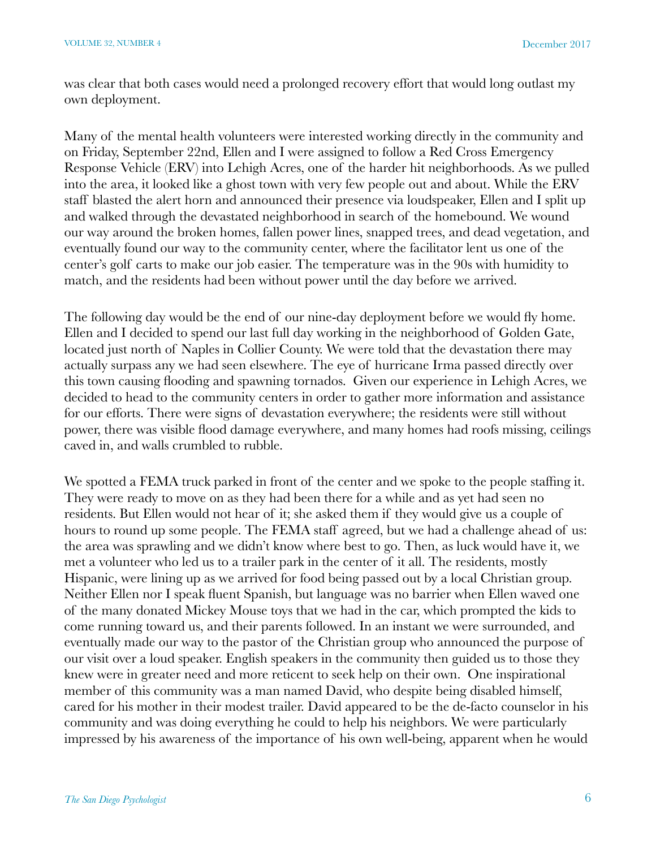was clear that both cases would need a prolonged recovery effort that would long outlast my own deployment. 

Many of the mental health volunteers were interested working directly in the community and on Friday, September 22nd, Ellen and I were assigned to follow a Red Cross Emergency Response Vehicle (ERV) into Lehigh Acres, one of the harder hit neighborhoods. As we pulled into the area, it looked like a ghost town with very few people out and about. While the ERV staff blasted the alert horn and announced their presence via loudspeaker, Ellen and I split up and walked through the devastated neighborhood in search of the homebound. We wound our way around the broken homes, fallen power lines, snapped trees, and dead vegetation, and eventually found our way to the community center, where the facilitator lent us one of the center's golf carts to make our job easier. The temperature was in the 90s with humidity to match, and the residents had been without power until the day before we arrived.

The following day would be the end of our nine-day deployment before we would fly home. Ellen and I decided to spend our last full day working in the neighborhood of Golden Gate, located just north of Naples in Collier County. We were told that the devastation there may actually surpass any we had seen elsewhere. The eye of hurricane Irma passed directly over this town causing flooding and spawning tornados. Given our experience in Lehigh Acres, we decided to head to the community centers in order to gather more information and assistance for our efforts. There were signs of devastation everywhere; the residents were still without power, there was visible flood damage everywhere, and many homes had roofs missing, ceilings caved in, and walls crumbled to rubble.

We spotted a FEMA truck parked in front of the center and we spoke to the people staffing it. They were ready to move on as they had been there for a while and as yet had seen no residents. But Ellen would not hear of it; she asked them if they would give us a couple of hours to round up some people. The FEMA staff agreed, but we had a challenge ahead of us: the area was sprawling and we didn't know where best to go. Then, as luck would have it, we met a volunteer who led us to a trailer park in the center of it all. The residents, mostly Hispanic, were lining up as we arrived for food being passed out by a local Christian group. Neither Ellen nor I speak fluent Spanish, but language was no barrier when Ellen waved one of the many donated Mickey Mouse toys that we had in the car, which prompted the kids to come running toward us, and their parents followed. In an instant we were surrounded, and eventually made our way to the pastor of the Christian group who announced the purpose of our visit over a loud speaker. English speakers in the community then guided us to those they knew were in greater need and more reticent to seek help on their own. One inspirational member of this community was a man named David, who despite being disabled himself, cared for his mother in their modest trailer. David appeared to be the de-facto counselor in his community and was doing everything he could to help his neighbors. We were particularly impressed by his awareness of the importance of his own well-being, apparent when he would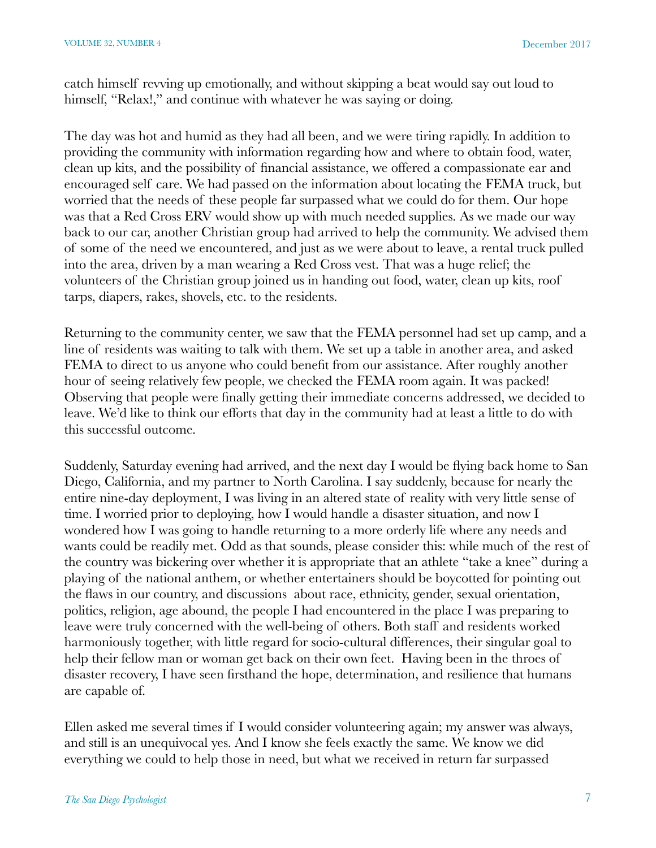catch himself revving up emotionally, and without skipping a beat would say out loud to himself, "Relax!," and continue with whatever he was saying or doing.

The day was hot and humid as they had all been, and we were tiring rapidly. In addition to providing the community with information regarding how and where to obtain food, water, clean up kits, and the possibility of financial assistance, we offered a compassionate ear and encouraged self care. We had passed on the information about locating the FEMA truck, but worried that the needs of these people far surpassed what we could do for them. Our hope was that a Red Cross ERV would show up with much needed supplies. As we made our way back to our car, another Christian group had arrived to help the community. We advised them of some of the need we encountered, and just as we were about to leave, a rental truck pulled into the area, driven by a man wearing a Red Cross vest. That was a huge relief; the volunteers of the Christian group joined us in handing out food, water, clean up kits, roof tarps, diapers, rakes, shovels, etc. to the residents.

Returning to the community center, we saw that the FEMA personnel had set up camp, and a line of residents was waiting to talk with them. We set up a table in another area, and asked FEMA to direct to us anyone who could benefit from our assistance. After roughly another hour of seeing relatively few people, we checked the FEMA room again. It was packed! Observing that people were finally getting their immediate concerns addressed, we decided to leave. We'd like to think our efforts that day in the community had at least a little to do with this successful outcome.

Suddenly, Saturday evening had arrived, and the next day I would be flying back home to San Diego, California, and my partner to North Carolina. I say suddenly, because for nearly the entire nine-day deployment, I was living in an altered state of reality with very little sense of time. I worried prior to deploying, how I would handle a disaster situation, and now I wondered how I was going to handle returning to a more orderly life where any needs and wants could be readily met. Odd as that sounds, please consider this: while much of the rest of the country was bickering over whether it is appropriate that an athlete "take a knee" during a playing of the national anthem, or whether entertainers should be boycotted for pointing out the flaws in our country, and discussions about race, ethnicity, gender, sexual orientation, politics, religion, age abound, the people I had encountered in the place I was preparing to leave were truly concerned with the well-being of others. Both staff and residents worked harmoniously together, with little regard for socio-cultural differences, their singular goal to help their fellow man or woman get back on their own feet. Having been in the throes of disaster recovery, I have seen firsthand the hope, determination, and resilience that humans are capable of.

Ellen asked me several times if I would consider volunteering again; my answer was always, and still is an unequivocal yes. And I know she feels exactly the same. We know we did everything we could to help those in need, but what we received in return far surpassed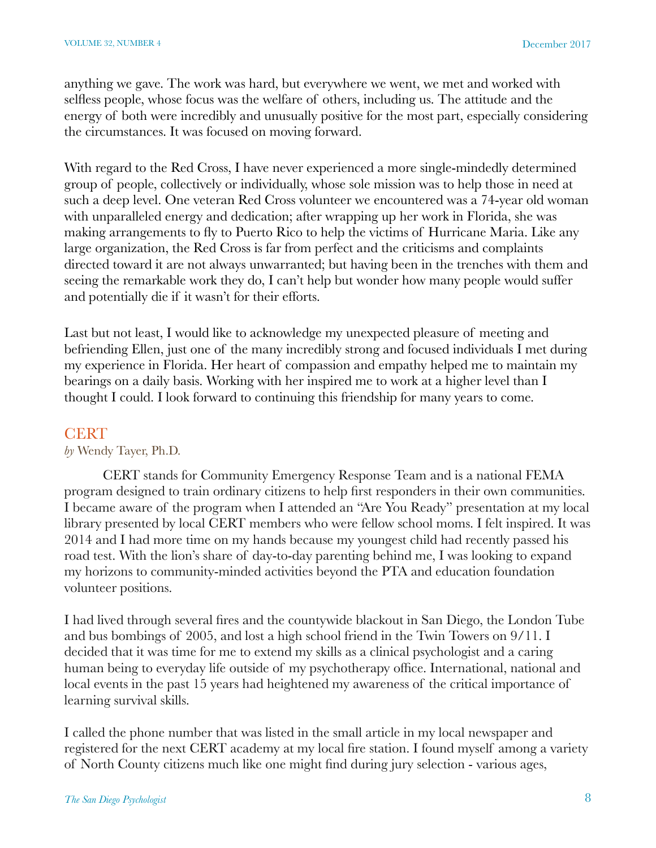anything we gave. The work was hard, but everywhere we went, we met and worked with selfless people, whose focus was the welfare of others, including us. The attitude and the energy of both were incredibly and unusually positive for the most part, especially considering the circumstances. It was focused on moving forward.

With regard to the Red Cross, I have never experienced a more single-mindedly determined group of people, collectively or individually, whose sole mission was to help those in need at such a deep level. One veteran Red Cross volunteer we encountered was a 74-year old woman with unparalleled energy and dedication; after wrapping up her work in Florida, she was making arrangements to fly to Puerto Rico to help the victims of Hurricane Maria. Like any large organization, the Red Cross is far from perfect and the criticisms and complaints directed toward it are not always unwarranted; but having been in the trenches with them and seeing the remarkable work they do, I can't help but wonder how many people would suffer and potentially die if it wasn't for their efforts.

Last but not least, I would like to acknowledge my unexpected pleasure of meeting and befriending Ellen, just one of the many incredibly strong and focused individuals I met during my experience in Florida. Her heart of compassion and empathy helped me to maintain my bearings on a daily basis. Working with her inspired me to work at a higher level than I thought I could. I look forward to continuing this friendship for many years to come.

## **CERT**

#### *by* Wendy Tayer, Ph.D.

CERT stands for Community Emergency Response Team and is a national FEMA program designed to train ordinary citizens to help first responders in their own communities. I became aware of the program when I attended an "Are You Ready" presentation at my local library presented by local CERT members who were fellow school moms. I felt inspired. It was 2014 and I had more time on my hands because my youngest child had recently passed his road test. With the lion's share of day-to-day parenting behind me, I was looking to expand my horizons to community-minded activities beyond the PTA and education foundation volunteer positions.

I had lived through several fires and the countywide blackout in San Diego, the London Tube and bus bombings of 2005, and lost a high school friend in the Twin Towers on 9/11. I decided that it was time for me to extend my skills as a clinical psychologist and a caring human being to everyday life outside of my psychotherapy office. International, national and local events in the past 15 years had heightened my awareness of the critical importance of learning survival skills.

I called the phone number that was listed in the small article in my local newspaper and registered for the next CERT academy at my local fire station. I found myself among a variety of North County citizens much like one might find during jury selection - various ages,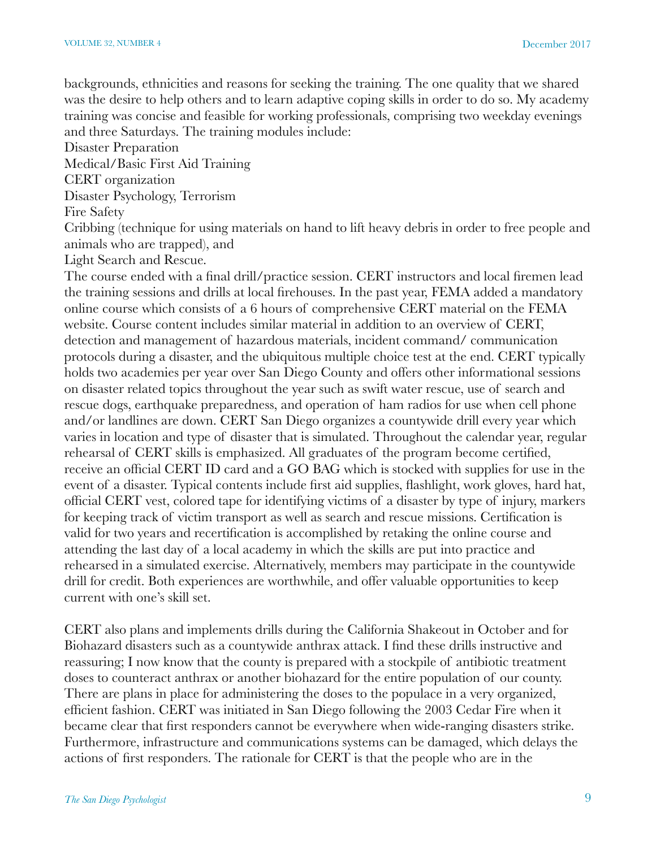backgrounds, ethnicities and reasons for seeking the training. The one quality that we shared was the desire to help others and to learn adaptive coping skills in order to do so. My academy training was concise and feasible for working professionals, comprising two weekday evenings and three Saturdays. The training modules include:

Disaster Preparation

Medical/Basic First Aid Training

CERT organization

Disaster Psychology, Terrorism

Fire Safety

Cribbing (technique for using materials on hand to lift heavy debris in order to free people and animals who are trapped), and

Light Search and Rescue.

The course ended with a final drill/practice session. CERT instructors and local firemen lead the training sessions and drills at local firehouses. In the past year, FEMA added a mandatory online course which consists of a 6 hours of comprehensive CERT material on the FEMA website. Course content includes similar material in addition to an overview of CERT, detection and management of hazardous materials, incident command/ communication protocols during a disaster, and the ubiquitous multiple choice test at the end. CERT typically holds two academies per year over San Diego County and offers other informational sessions on disaster related topics throughout the year such as swift water rescue, use of search and rescue dogs, earthquake preparedness, and operation of ham radios for use when cell phone and/or landlines are down. CERT San Diego organizes a countywide drill every year which varies in location and type of disaster that is simulated. Throughout the calendar year, regular rehearsal of CERT skills is emphasized. All graduates of the program become certified, receive an official CERT ID card and a GO BAG which is stocked with supplies for use in the event of a disaster. Typical contents include first aid supplies, flashlight, work gloves, hard hat, official CERT vest, colored tape for identifying victims of a disaster by type of injury, markers for keeping track of victim transport as well as search and rescue missions. Certification is valid for two years and recertification is accomplished by retaking the online course and attending the last day of a local academy in which the skills are put into practice and rehearsed in a simulated exercise. Alternatively, members may participate in the countywide drill for credit. Both experiences are worthwhile, and offer valuable opportunities to keep current with one's skill set.

CERT also plans and implements drills during the California Shakeout in October and for Biohazard disasters such as a countywide anthrax attack. I find these drills instructive and reassuring; I now know that the county is prepared with a stockpile of antibiotic treatment doses to counteract anthrax or another biohazard for the entire population of our county. There are plans in place for administering the doses to the populace in a very organized, efficient fashion. CERT was initiated in San Diego following the 2003 Cedar Fire when it became clear that first responders cannot be everywhere when wide-ranging disasters strike. Furthermore, infrastructure and communications systems can be damaged, which delays the actions of first responders. The rationale for CERT is that the people who are in the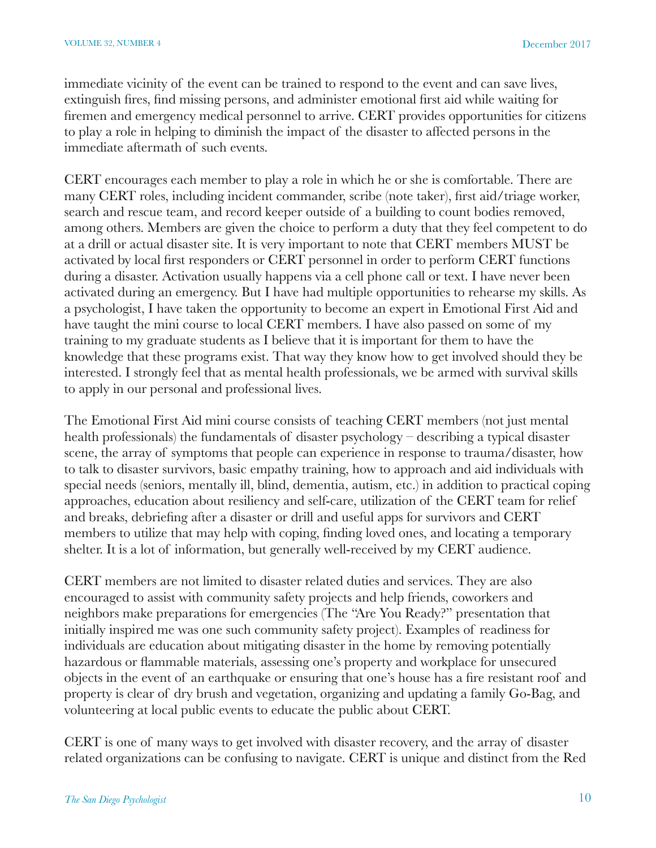immediate vicinity of the event can be trained to respond to the event and can save lives, extinguish fires, find missing persons, and administer emotional first aid while waiting for firemen and emergency medical personnel to arrive. CERT provides opportunities for citizens to play a role in helping to diminish the impact of the disaster to affected persons in the immediate aftermath of such events.

CERT encourages each member to play a role in which he or she is comfortable. There are many CERT roles, including incident commander, scribe (note taker), first aid/triage worker, search and rescue team, and record keeper outside of a building to count bodies removed, among others. Members are given the choice to perform a duty that they feel competent to do at a drill or actual disaster site. It is very important to note that CERT members MUST be activated by local first responders or CERT personnel in order to perform CERT functions during a disaster. Activation usually happens via a cell phone call or text. I have never been activated during an emergency. But I have had multiple opportunities to rehearse my skills. As a psychologist, I have taken the opportunity to become an expert in Emotional First Aid and have taught the mini course to local CERT members. I have also passed on some of my training to my graduate students as I believe that it is important for them to have the knowledge that these programs exist. That way they know how to get involved should they be interested. I strongly feel that as mental health professionals, we be armed with survival skills to apply in our personal and professional lives.

The Emotional First Aid mini course consists of teaching CERT members (not just mental health professionals) the fundamentals of disaster psychology – describing a typical disaster scene, the array of symptoms that people can experience in response to trauma/disaster, how to talk to disaster survivors, basic empathy training, how to approach and aid individuals with special needs (seniors, mentally ill, blind, dementia, autism, etc.) in addition to practical coping approaches, education about resiliency and self-care, utilization of the CERT team for relief and breaks, debriefing after a disaster or drill and useful apps for survivors and CERT members to utilize that may help with coping, finding loved ones, and locating a temporary shelter. It is a lot of information, but generally well-received by my CERT audience.

CERT members are not limited to disaster related duties and services. They are also encouraged to assist with community safety projects and help friends, coworkers and neighbors make preparations for emergencies (The "Are You Ready?" presentation that initially inspired me was one such community safety project). Examples of readiness for individuals are education about mitigating disaster in the home by removing potentially hazardous or flammable materials, assessing one's property and workplace for unsecured objects in the event of an earthquake or ensuring that one's house has a fire resistant roof and property is clear of dry brush and vegetation, organizing and updating a family Go-Bag, and volunteering at local public events to educate the public about CERT.

CERT is one of many ways to get involved with disaster recovery, and the array of disaster related organizations can be confusing to navigate. CERT is unique and distinct from the Red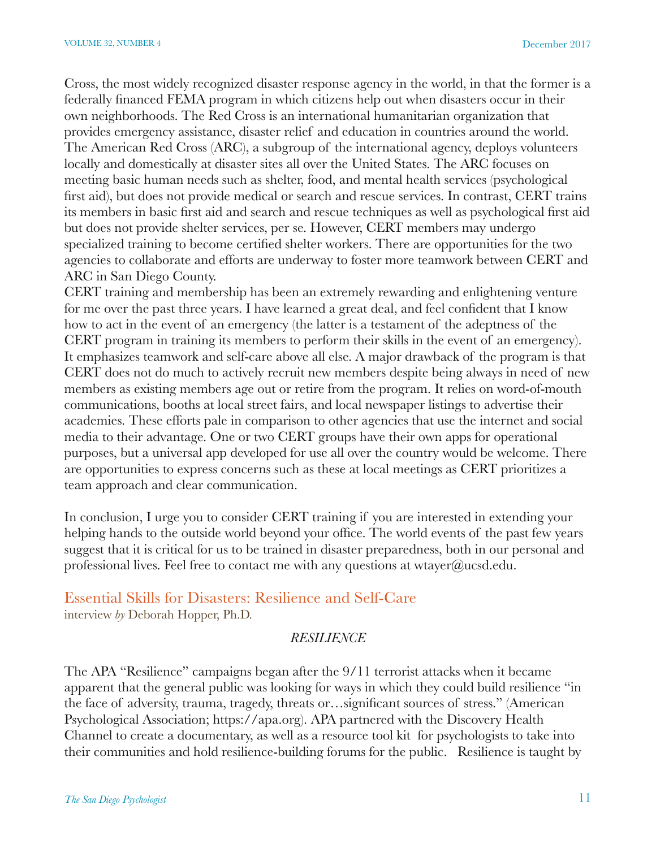Cross, the most widely recognized disaster response agency in the world, in that the former is a federally financed FEMA program in which citizens help out when disasters occur in their own neighborhoods. The Red Cross is an international humanitarian organization that provides emergency assistance, disaster relief and education in countries around the world. The American Red Cross (ARC), a subgroup of the international agency, deploys volunteers locally and domestically at disaster sites all over the United States. The ARC focuses on meeting basic human needs such as shelter, food, and mental health services (psychological first aid), but does not provide medical or search and rescue services. In contrast, CERT trains its members in basic first aid and search and rescue techniques as well as psychological first aid but does not provide shelter services, per se. However, CERT members may undergo specialized training to become certified shelter workers. There are opportunities for the two agencies to collaborate and efforts are underway to foster more teamwork between CERT and ARC in San Diego County.

CERT training and membership has been an extremely rewarding and enlightening venture for me over the past three years. I have learned a great deal, and feel confident that I know how to act in the event of an emergency (the latter is a testament of the adeptness of the CERT program in training its members to perform their skills in the event of an emergency). It emphasizes teamwork and self-care above all else. A major drawback of the program is that CERT does not do much to actively recruit new members despite being always in need of new members as existing members age out or retire from the program. It relies on word-of-mouth communications, booths at local street fairs, and local newspaper listings to advertise their academies. These efforts pale in comparison to other agencies that use the internet and social media to their advantage. One or two CERT groups have their own apps for operational purposes, but a universal app developed for use all over the country would be welcome. There are opportunities to express concerns such as these at local meetings as CERT prioritizes a team approach and clear communication.

In conclusion, I urge you to consider CERT training if you are interested in extending your helping hands to the outside world beyond your office. The world events of the past few years suggest that it is critical for us to be trained in disaster preparedness, both in our personal and professional lives. Feel free to contact me with any questions at wtayer $@$ ucsd.edu.

## Essential Skills for Disasters: Resilience and Self-Care interview *by* Deborah Hopper, Ph.D.

#### *RESILIENCE*

The APA "Resilience" campaigns began after the 9/11 terrorist attacks when it became apparent that the general public was looking for ways in which they could build resilience "in the face of adversity, trauma, tragedy, threats or…significant sources of stress." (American Psychological Association; https://apa.org). APA partnered with the Discovery Health Channel to create a documentary, as well as a resource tool kit for psychologists to take into their communities and hold resilience-building forums for the public. Resilience is taught by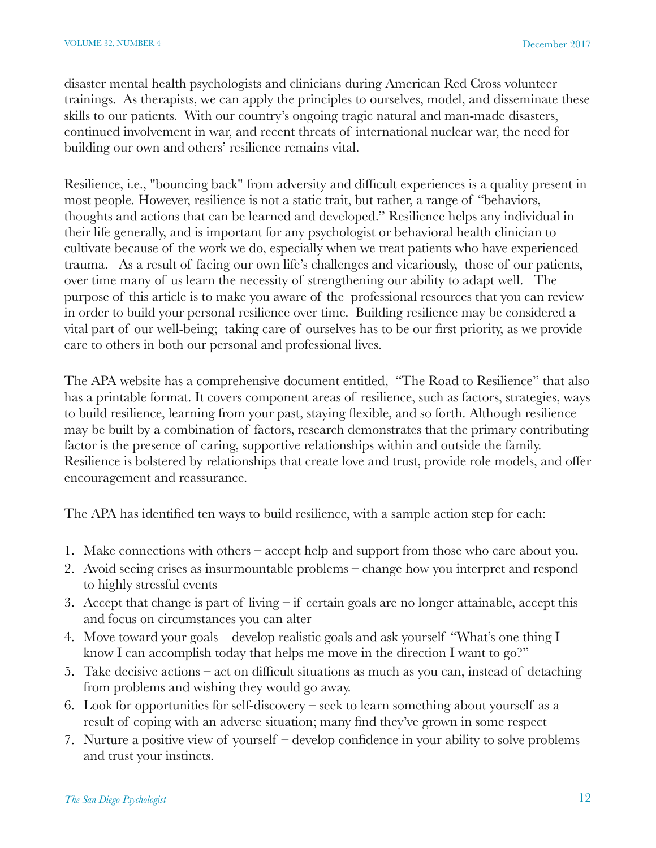disaster mental health psychologists and clinicians during American Red Cross volunteer trainings. As therapists, we can apply the principles to ourselves, model, and disseminate these skills to our patients. With our country's ongoing tragic natural and man-made disasters, continued involvement in war, and recent threats of international nuclear war, the need for building our own and others' resilience remains vital.

Resilience, i.e., "bouncing back" from adversity and difficult experiences is a quality present in most people. However, resilience is not a static trait, but rather, a range of "behaviors, thoughts and actions that can be learned and developed." Resilience helps any individual in their life generally, and is important for any psychologist or behavioral health clinician to cultivate because of the work we do, especially when we treat patients who have experienced trauma. As a result of facing our own life's challenges and vicariously, those of our patients, over time many of us learn the necessity of strengthening our ability to adapt well. The purpose of this article is to make you aware of the professional resources that you can review in order to build your personal resilience over time. Building resilience may be considered a vital part of our well-being; taking care of ourselves has to be our first priority, as we provide care to others in both our personal and professional lives.

The APA website has a comprehensive document entitled, "The Road to Resilience" that also has a printable format. It covers component areas of resilience, such as factors, strategies, ways to build resilience, learning from your past, staying flexible, and so forth. Although resilience may be built by a combination of factors, research demonstrates that the primary contributing factor is the presence of caring, supportive relationships within and outside the family. Resilience is bolstered by relationships that create love and trust, provide role models, and offer encouragement and reassurance.

The APA has identified ten ways to build resilience, with a sample action step for each:

- 1. Make connections with others accept help and support from those who care about you.
- 2. Avoid seeing crises as insurmountable problems change how you interpret and respond to highly stressful events
- 3. Accept that change is part of living if certain goals are no longer attainable, accept this and focus on circumstances you can alter
- 4. Move toward your goals develop realistic goals and ask yourself "What's one thing I know I can accomplish today that helps me move in the direction I want to go?"
- 5. Take decisive actions act on difficult situations as much as you can, instead of detaching from problems and wishing they would go away.
- 6. Look for opportunities for self-discovery seek to learn something about yourself as a result of coping with an adverse situation; many find they've grown in some respect
- 7. Nurture a positive view of yourself develop confidence in your ability to solve problems and trust your instincts.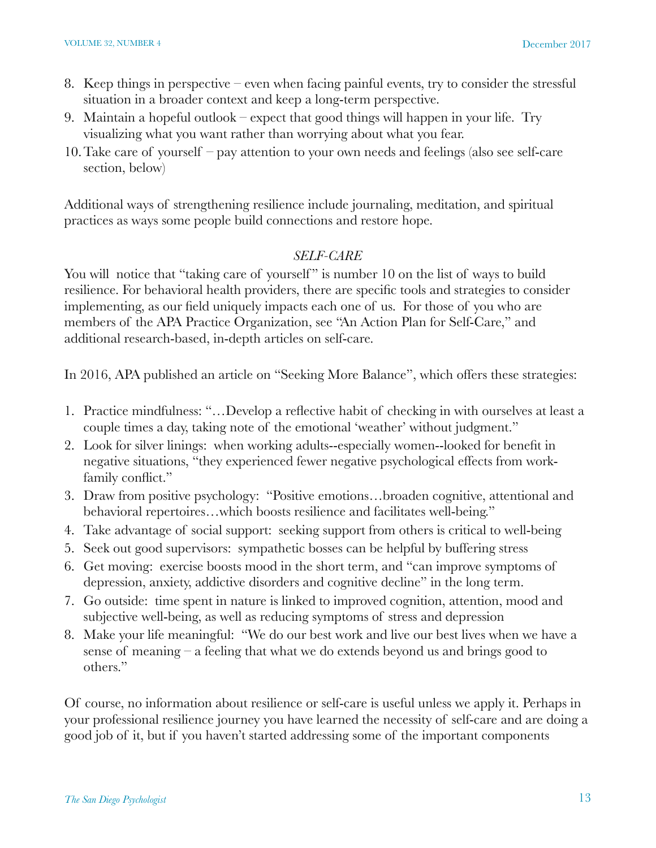- 8. Keep things in perspective even when facing painful events, try to consider the stressful situation in a broader context and keep a long-term perspective.
- 9. Maintain a hopeful outlook expect that good things will happen in your life. Try visualizing what you want rather than worrying about what you fear.
- 10.Take care of yourself pay attention to your own needs and feelings (also see self-care section, below)

Additional ways of strengthening resilience include journaling, meditation, and spiritual practices as ways some people build connections and restore hope.

## *SELF-CARE*

You will notice that "taking care of yourself" is number 10 on the list of ways to build resilience. For behavioral health providers, there are specific tools and strategies to consider implementing, as our field uniquely impacts each one of us. For those of you who are members of the APA Practice Organization, see "An Action Plan for Self-Care," and additional research-based, in-depth articles on self-care.

In 2016, APA published an article on "Seeking More Balance", which offers these strategies:

- 1. Practice mindfulness: "…Develop a reflective habit of checking in with ourselves at least a couple times a day, taking note of the emotional 'weather' without judgment."
- 2. Look for silver linings: when working adults--especially women--looked for benefit in negative situations, "they experienced fewer negative psychological effects from workfamily conflict."
- 3. Draw from positive psychology: "Positive emotions…broaden cognitive, attentional and behavioral repertoires…which boosts resilience and facilitates well-being."
- 4. Take advantage of social support: seeking support from others is critical to well-being
- 5. Seek out good supervisors: sympathetic bosses can be helpful by buffering stress
- 6. Get moving: exercise boosts mood in the short term, and "can improve symptoms of depression, anxiety, addictive disorders and cognitive decline" in the long term.
- 7. Go outside: time spent in nature is linked to improved cognition, attention, mood and subjective well-being, as well as reducing symptoms of stress and depression
- 8. Make your life meaningful: "We do our best work and live our best lives when we have a sense of meaning – a feeling that what we do extends beyond us and brings good to others."

Of course, no information about resilience or self-care is useful unless we apply it. Perhaps in your professional resilience journey you have learned the necessity of self-care and are doing a good job of it, but if you haven't started addressing some of the important components